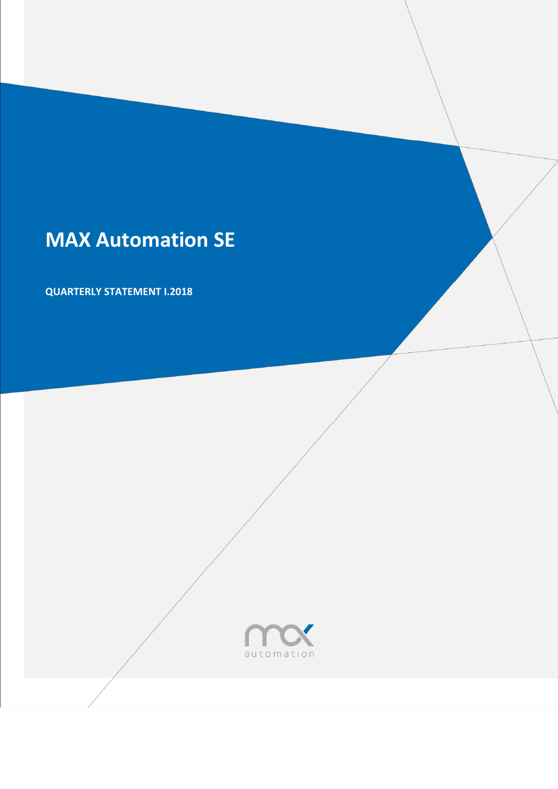# **MAX Automation SE**

**QUARTERLY STATEMENT I.2018**

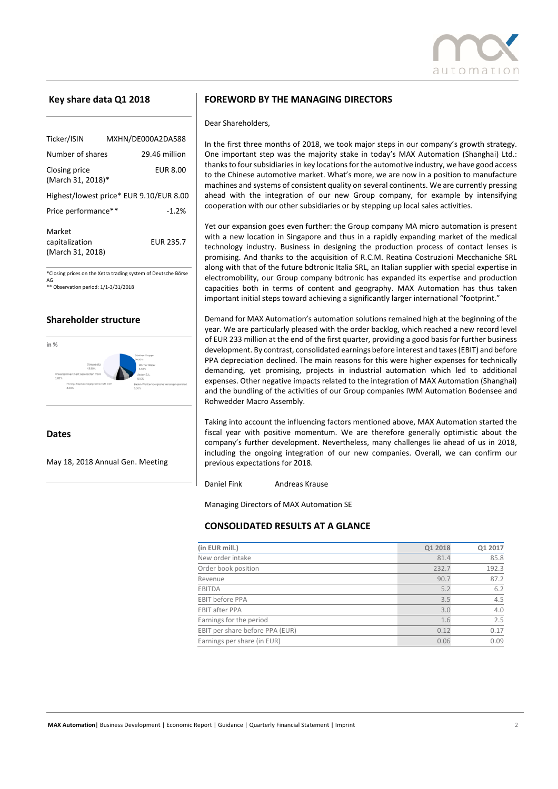

## **Key share data Q1 2018**

| Ticker/ISIN                                  | MXHN/DE000A2DA588                       |  |  |  |
|----------------------------------------------|-----------------------------------------|--|--|--|
| Number of shares                             | 29.46 million                           |  |  |  |
| Closing price<br>(March 31, 2018)*           | <b>EUR 8.00</b>                         |  |  |  |
|                                              | Highest/lowest price* EUR 9.10/EUR 8.00 |  |  |  |
| Price performance**                          | $-1.2%$                                 |  |  |  |
| Market<br>capitalization<br>(March 31, 2018) | <b>EUR 235.7</b>                        |  |  |  |

\*Closing prices on the Xetra trading system of Deutsche Börse AG \*\* Observation period: 1/1-3/31/2018

## **Shareholder structure**



**Dates** 

May 18, 2018 Annual Gen. Meeting

#### **FOREWORD BY THE MANAGING DIRECTORS**

Dear Shareholders,

In the first three months of 2018, we took major steps in our company's growth strategy. One important step was the majority stake in today's MAX Automation (Shanghai) Ltd.: thanks to four subsidiaries in key locations for the automotive industry, we have good access to the Chinese automotive market. What's more, we are now in a position to manufacture machines and systems of consistent quality on several continents. We are currently pressing ahead with the integration of our new Group company, for example by intensifying cooperation with our other subsidiaries or by stepping up local sales activities.

Yet our expansion goes even further: the Group company MA micro automation is present with a new location in Singapore and thus in a rapidly expanding market of the medical technology industry. Business in designing the production process of contact lenses is promising. And thanks to the acquisition of R.C.M. Reatina Costruzioni Mecchaniche SRL along with that of the future bdtronic Italia SRL, an Italian supplier with special expertise in electromobility, our Group company bdtronic has expanded its expertise and production capacities both in terms of content and geography. MAX Automation has thus taken important initial steps toward achieving a significantly larger international "footprint."

Demand for MAX Automation's automation solutions remained high at the beginning of the year. We are particularly pleased with the order backlog, which reached a new record level of EUR 233 million at the end of the first quarter, providing a good basis for further business development. By contrast, consolidated earnings before interest and taxes (EBIT) and before PPA depreciation declined. The main reasons for this were higher expenses for technically demanding, yet promising, projects in industrial automation which led to additional expenses. Other negative impacts related to the integration of MAX Automation (Shanghai) and the bundling of the activities of our Group companies IWM Automation Bodensee and Rohwedder Macro Assembly.

Taking into account the influencing factors mentioned above, MAX Automation started the fiscal year with positive momentum. We are therefore generally optimistic about the company's further development. Nevertheless, many challenges lie ahead of us in 2018, including the ongoing integration of our new companies. Overall, we can confirm our previous expectations for 2018.

Daniel Fink Andreas Krause

Managing Directors of MAX Automation SE

## **CONSOLIDATED RESULTS AT A GLANCE**

| (in EUR mill.)                  | Q1 2018 | Q1 2017 |
|---------------------------------|---------|---------|
| New order intake                | 81.4    | 85.8    |
| Order book position             | 232.7   | 192.3   |
| Revenue                         | 90.7    | 87.2    |
| <b>EBITDA</b>                   | 5.2     | 6.2     |
| <b>EBIT before PPA</b>          | 3.5     | 4.5     |
| <b>EBIT after PPA</b>           | 3.0     | 4.0     |
| Earnings for the period         | 1.6     | 2.5     |
| EBIT per share before PPA (EUR) | 0.12    | 0.17    |
| Earnings per share (in EUR)     | 0.06    | 0.09    |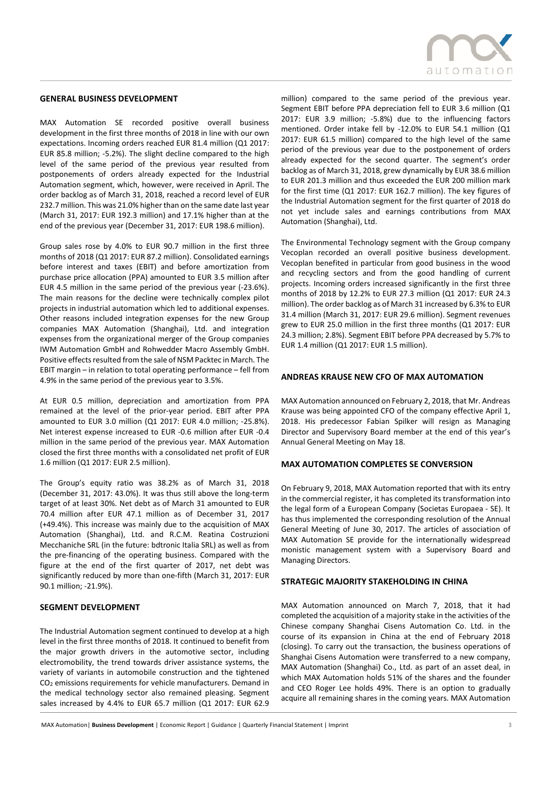#### **GENERAL BUSINESS DEVELOPMENT**

MAX Automation SE recorded positive overall business development in the first three months of 2018 in line with our own expectations. Incoming orders reached EUR 81.4 million (Q1 2017: EUR 85.8 million; -5.2%). The slight decline compared to the high level of the same period of the previous year resulted from postponements of orders already expected for the Industrial Automation segment, which, however, were received in April. The order backlog as of March 31, 2018, reached a record level of EUR 232.7 million. This was 21.0% higher than on the same date last year (March 31, 2017: EUR 192.3 million) and 17.1% higher than at the end of the previous year (December 31, 2017: EUR 198.6 million).

Group sales rose by 4.0% to EUR 90.7 million in the first three months of 2018 (Q1 2017: EUR 87.2 million). Consolidated earnings before interest and taxes (EBIT) and before amortization from purchase price allocation (PPA) amounted to EUR 3.5 million after EUR 4.5 million in the same period of the previous year (-23.6%). The main reasons for the decline were technically complex pilot projects in industrial automation which led to additional expenses. Other reasons included integration expenses for the new Group companies MAX Automation (Shanghai), Ltd. and integration expenses from the organizational merger of the Group companies IWM Automation GmbH and Rohwedder Macro Assembly GmbH. Positive effects resulted from the sale of NSM Packtec in March. The EBIT margin – in relation to total operating performance – fell from 4.9% in the same period of the previous year to 3.5%.

At EUR 0.5 million, depreciation and amortization from PPA remained at the level of the prior-year period. EBIT after PPA amounted to EUR 3.0 million (Q1 2017: EUR 4.0 million; -25.8%). Net interest expense increased to EUR -0.6 million after EUR -0.4 million in the same period of the previous year. MAX Automation closed the first three months with a consolidated net profit of EUR 1.6 million (Q1 2017: EUR 2.5 million).

The Group's equity ratio was 38.2% as of March 31, 2018 (December 31, 2017: 43.0%). It was thus still above the long-term target of at least 30%. Net debt as of March 31 amounted to EUR 70.4 million after EUR 47.1 million as of December 31, 2017 (+49.4%). This increase was mainly due to the acquisition of MAX Automation (Shanghai), Ltd. and R.C.M. Reatina Costruzioni Mecchaniche SRL (in the future: bdtronic Italia SRL) as well as from the pre-financing of the operating business. Compared with the figure at the end of the first quarter of 2017, net debt was significantly reduced by more than one-fifth (March 31, 2017: EUR 90.1 million; -21.9%).

#### **SEGMENT DEVELOPMENT**

The Industrial Automation segment continued to develop at a high level in the first three months of 2018. It continued to benefit from the major growth drivers in the automotive sector, including electromobility, the trend towards driver assistance systems, the variety of variants in automobile construction and the tightened CO<sub>2</sub> emissions requirements for vehicle manufacturers. Demand in the medical technology sector also remained pleasing. Segment sales increased by 4.4% to EUR 65.7 million (Q1 2017: EUR 62.9



million) compared to the same period of the previous year. Segment EBIT before PPA depreciation fell to EUR 3.6 million (Q1 2017: EUR 3.9 million; -5.8%) due to the influencing factors mentioned. Order intake fell by -12.0% to EUR 54.1 million (Q1 2017: EUR 61.5 million) compared to the high level of the same period of the previous year due to the postponement of orders already expected for the second quarter. The segment's order backlog as of March 31, 2018, grew dynamically by EUR 38.6 million to EUR 201.3 million and thus exceeded the EUR 200 million mark for the first time (Q1 2017: EUR 162.7 million). The key figures of the Industrial Automation segment for the first quarter of 2018 do not yet include sales and earnings contributions from MAX Automation (Shanghai), Ltd.

The Environmental Technology segment with the Group company Vecoplan recorded an overall positive business development. Vecoplan benefited in particular from good business in the wood and recycling sectors and from the good handling of current projects. Incoming orders increased significantly in the first three months of 2018 by 12.2% to EUR 27.3 million (Q1 2017: EUR 24.3 million). The order backlog as of March 31 increased by 6.3% to EUR 31.4 million (March 31, 2017: EUR 29.6 million). Segment revenues grew to EUR 25.0 million in the first three months (Q1 2017: EUR 24.3 million; 2.8%). Segment EBIT before PPA decreased by 5.7% to EUR 1.4 million (Q1 2017: EUR 1.5 million).

#### **ANDREAS KRAUSE NEW CFO OF MAX AUTOMATION**

MAX Automation announced on February 2, 2018, that Mr. Andreas Krause was being appointed CFO of the company effective April 1, 2018. His predecessor Fabian Spilker will resign as Managing Director and Supervisory Board member at the end of this year's Annual General Meeting on May 18.

#### **MAX AUTOMATION COMPLETES SE CONVERSION**

On February 9, 2018, MAX Automation reported that with its entry in the commercial register, it has completed its transformation into the legal form of a European Company (Societas Europaea - SE). It has thus implemented the corresponding resolution of the Annual General Meeting of June 30, 2017. The articles of association of MAX Automation SE provide for the internationally widespread monistic management system with a Supervisory Board and Managing Directors.

#### **STRATEGIC MAJORITY STAKEHOLDING IN CHINA**

MAX Automation announced on March 7, 2018, that it had completed the acquisition of a majority stake in the activities of the Chinese company Shanghai Cisens Automation Co. Ltd. in the course of its expansion in China at the end of February 2018 (closing). To carry out the transaction, the business operations of Shanghai Cisens Automation were transferred to a new company, MAX Automation (Shanghai) Co., Ltd. as part of an asset deal, in which MAX Automation holds 51% of the shares and the founder and CEO Roger Lee holds 49%. There is an option to gradually acquire all remaining shares in the coming years. MAX Automation

MAX Automation| **Business Development** | Economic Report | Guidance | Quarterly Financial Statement | Imprint 3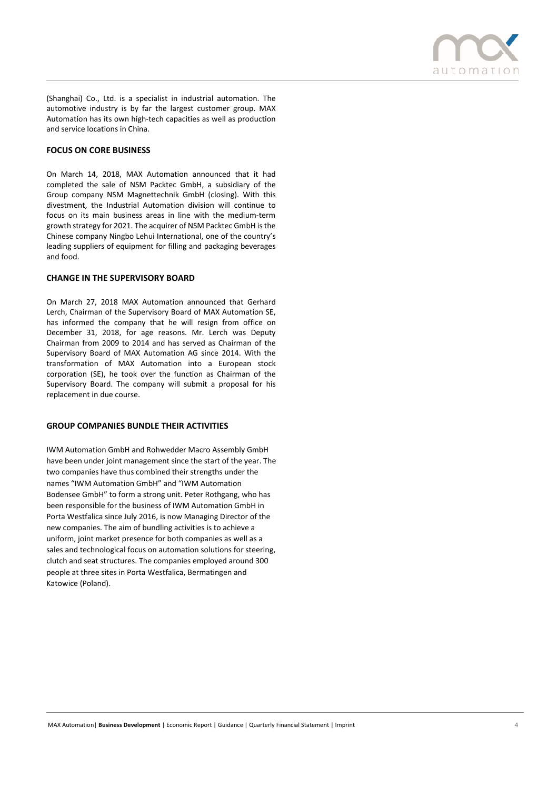

(Shanghai) Co., Ltd. is a specialist in industrial automation. The automotive industry is by far the largest customer group. MAX Automation has its own high-tech capacities as well as production and service locations in China.

## **FOCUS ON CORE BUSINESS**

On March 14, 2018, MAX Automation announced that it had completed the sale of NSM Packtec GmbH, a subsidiary of the Group company NSM Magnettechnik GmbH (closing). With this divestment, the Industrial Automation division will continue to focus on its main business areas in line with the medium-term growth strategy for 2021. The acquirer of NSM Packtec GmbH is the Chinese company Ningbo Lehui International, one of the country's leading suppliers of equipment for filling and packaging beverages and food.

#### **CHANGE IN THE SUPERVISORY BOARD**

On March 27, 2018 MAX Automation announced that Gerhard Lerch, Chairman of the Supervisory Board of MAX Automation SE, has informed the company that he will resign from office on December 31, 2018, for age reasons. Mr. Lerch was Deputy Chairman from 2009 to 2014 and has served as Chairman of the Supervisory Board of MAX Automation AG since 2014. With the transformation of MAX Automation into a European stock corporation (SE), he took over the function as Chairman of the Supervisory Board. The company will submit a proposal for his replacement in due course.

#### **GROUP COMPANIES BUNDLE THEIR ACTIVITIES**

IWM Automation GmbH and Rohwedder Macro Assembly GmbH have been under joint management since the start of the year. The two companies have thus combined their strengths under the names "IWM Automation GmbH" and "IWM Automation Bodensee GmbH" to form a strong unit. Peter Rothgang, who has been responsible for the business of IWM Automation GmbH in Porta Westfalica since July 2016, is now Managing Director of the new companies. The aim of bundling activities is to achieve a uniform, joint market presence for both companies as well as a sales and technological focus on automation solutions for steering, clutch and seat structures. The companies employed around 300 people at three sites in Porta Westfalica, Bermatingen and Katowice (Poland).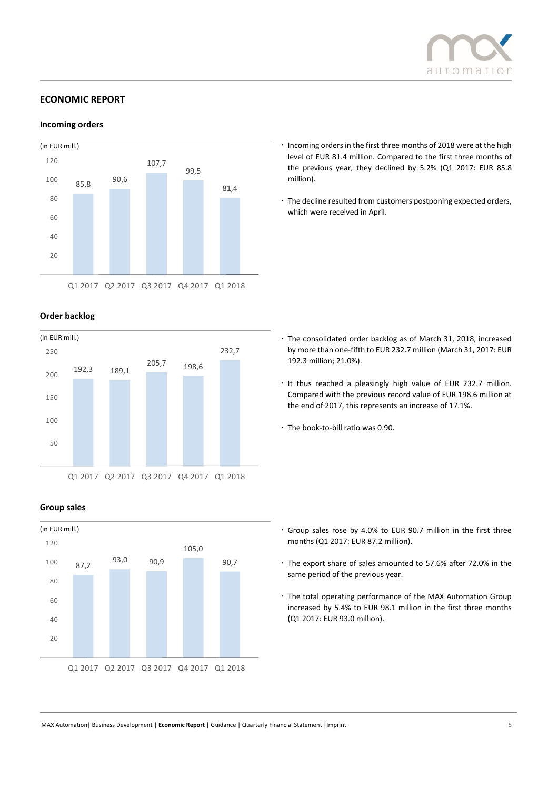

# **ECONOMIC REPORT**

**Incoming orders**



## **Order backlog**



### **Group sales**



- $\cdot$  Incoming orders in the first three months of 2018 were at the high level of EUR 81.4 million. Compared to the first three months of the previous year, they declined by 5.2% (Q1 2017: EUR 85.8 million).
- The decline resulted from customers postponing expected orders, which were received in April.

- The consolidated order backlog as of March 31, 2018, increased by more than one-fifth to EUR 232.7 million (March 31, 2017: EUR 192.3 million; 21.0%).
- · It thus reached a pleasingly high value of EUR 232.7 million. Compared with the previous record value of EUR 198.6 million at the end of 2017, this represents an increase of 17.1%.
- The book-to-bill ratio was 0.90.

- Group sales rose by 4.0% to EUR 90.7 million in the first three months (Q1 2017: EUR 87.2 million).
- The export share of sales amounted to 57.6% after 72.0% in the same period of the previous year.
- The total operating performance of the MAX Automation Group increased by 5.4% to EUR 98.1 million in the first three months (Q1 2017: EUR 93.0 million).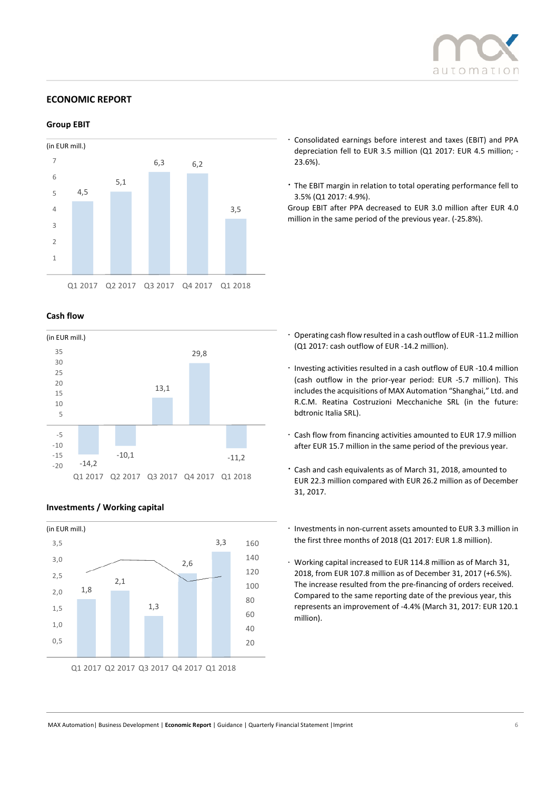

## **ECONOMIC REPORT**

## **Group EBIT**



## **Cash flow**



### **Investments / Working capital**



Q1 2017 Q2 2017 Q3 2017 Q4 2017 Q1 2018

- Consolidated earnings before interest and taxes (EBIT) and PPA depreciation fell to EUR 3.5 million (Q1 2017: EUR 4.5 million; - 23.6%).
- The EBIT margin in relation to total operating performance fell to 3.5% (Q1 2017: 4.9%).

Group EBIT after PPA decreased to EUR 3.0 million after EUR 4.0 million in the same period of the previous year. (-25.8%).

- Operating cash flow resulted in a cash outflow of EUR -11.2 million (Q1 2017: cash outflow of EUR -14.2 million).
- Investing activities resulted in a cash outflow of EUR -10.4 million (cash outflow in the prior-year period: EUR -5.7 million). This includes the acquisitions of MAX Automation "Shanghai," Ltd. and R.C.M. Reatina Costruzioni Mecchaniche SRL (in the future: bdtronic Italia SRL).
- Cash flow from financing activities amounted to EUR 17.9 million after EUR 15.7 million in the same period of the previous year.
- Cash and cash equivalents as of March 31, 2018, amounted to EUR 22.3 million compared with EUR 26.2 million as of December 31, 2017.
- Investments in non-current assets amounted to EUR 3.3 million in the first three months of 2018 (Q1 2017: EUR 1.8 million).
- Working capital increased to EUR 114.8 million as of March 31, 2018, from EUR 107.8 million as of December 31, 2017 (+6.5%). The increase resulted from the pre-financing of orders received. Compared to the same reporting date of the previous year, this represents an improvement of -4.4% (March 31, 2017: EUR 120.1 million).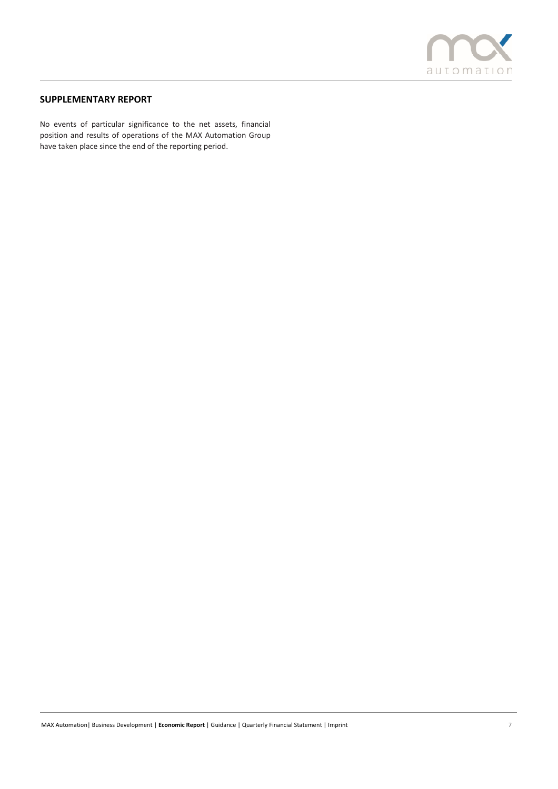

# **SUPPLEMENTARY REPORT**

No events of particular significance to the net assets, financial position and results of operations of the MAX Automation Group have taken place since the end of the reporting period.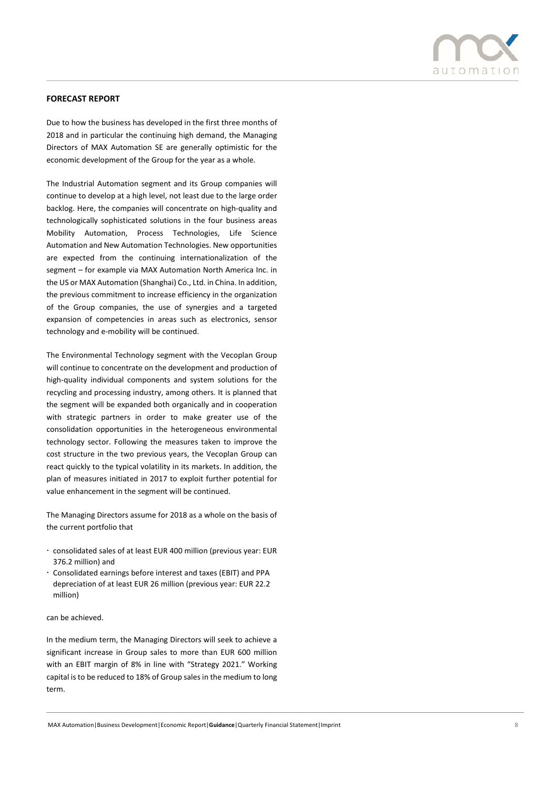

## **FORECAST REPORT**

Due to how the business has developed in the first three months of 2018 and in particular the continuing high demand, the Managing Directors of MAX Automation SE are generally optimistic for the economic development of the Group for the year as a whole.

The Industrial Automation segment and its Group companies will continue to develop at a high level, not least due to the large order backlog. Here, the companies will concentrate on high-quality and technologically sophisticated solutions in the four business areas Mobility Automation, Process Technologies, Life Science Automation and New Automation Technologies. New opportunities are expected from the continuing internationalization of the segment – for example via MAX Automation North America Inc. in the US or MAX Automation (Shanghai) Co., Ltd. in China. In addition, the previous commitment to increase efficiency in the organization of the Group companies, the use of synergies and a targeted expansion of competencies in areas such as electronics, sensor technology and e-mobility will be continued.

The Environmental Technology segment with the Vecoplan Group will continue to concentrate on the development and production of high-quality individual components and system solutions for the recycling and processing industry, among others. It is planned that the segment will be expanded both organically and in cooperation with strategic partners in order to make greater use of the consolidation opportunities in the heterogeneous environmental technology sector. Following the measures taken to improve the cost structure in the two previous years, the Vecoplan Group can react quickly to the typical volatility in its markets. In addition, the plan of measures initiated in 2017 to exploit further potential for value enhancement in the segment will be continued.

The Managing Directors assume for 2018 as a whole on the basis of the current portfolio that

- consolidated sales of at least EUR 400 million (previous year: EUR 376.2 million) and
- Consolidated earnings before interest and taxes (EBIT) and PPA depreciation of at least EUR 26 million (previous year: EUR 22.2 million)

#### can be achieved.

In the medium term, the Managing Directors will seek to achieve a significant increase in Group sales to more than EUR 600 million with an EBIT margin of 8% in line with "Strategy 2021." Working capital is to be reduced to 18% of Group sales in the medium to long term.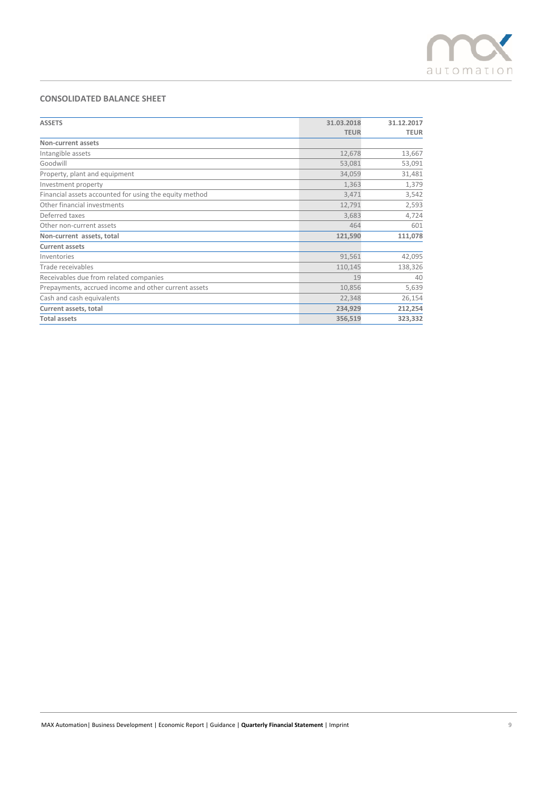

# **CONSOLIDATED BALANCE SHEET**

| <b>ASSETS</b>                                          | 31.03.2018  | 31.12.2017  |
|--------------------------------------------------------|-------------|-------------|
|                                                        | <b>TEUR</b> | <b>TEUR</b> |
| Non-current assets                                     |             |             |
| Intangible assets                                      | 12,678      | 13,667      |
| Goodwill                                               | 53,081      | 53,091      |
| Property, plant and equipment                          | 34,059      | 31,481      |
| Investment property                                    | 1,363       | 1,379       |
| Financial assets accounted for using the equity method | 3,471       | 3,542       |
| Other financial investments                            | 12,791      | 2,593       |
| Deferred taxes                                         | 3,683       | 4,724       |
| Other non-current assets                               | 464         | 601         |
| Non-current assets, total                              | 121,590     | 111,078     |
| <b>Current assets</b>                                  |             |             |
| Inventories                                            | 91,561      | 42,095      |
| Trade receivables                                      | 110,145     | 138,326     |
| Receivables due from related companies                 | 19          | 40          |
| Prepayments, accrued income and other current assets   | 10,856      | 5,639       |
| Cash and cash equivalents                              | 22,348      | 26,154      |
| Current assets, total                                  | 234,929     | 212,254     |
| <b>Total assets</b>                                    | 356,519     | 323,332     |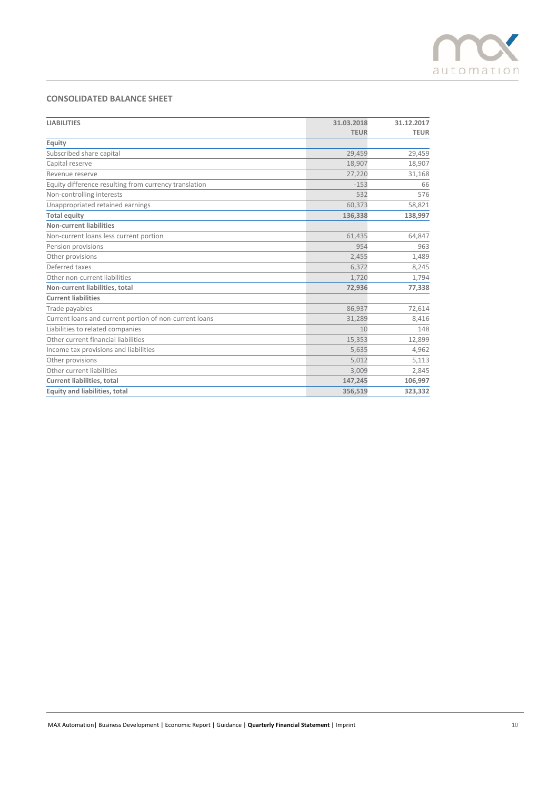

# **CONSOLIDATED BALANCE SHEET**

| <b>LIABILITIES</b>                                     | 31.03.2018  | 31.12.2017  |
|--------------------------------------------------------|-------------|-------------|
|                                                        | <b>TEUR</b> | <b>TEUR</b> |
| Equity                                                 |             |             |
| Subscribed share capital                               | 29,459      | 29,459      |
| Capital reserve                                        | 18,907      | 18,907      |
| Revenue reserve                                        | 27,220      | 31,168      |
| Equity difference resulting from currency translation  | $-153$      | 66          |
| Non-controlling interests                              | 532         | 576         |
| Unappropriated retained earnings                       | 60,373      | 58,821      |
| <b>Total equity</b>                                    | 136,338     | 138,997     |
| <b>Non-current liabilities</b>                         |             |             |
| Non-current loans less current portion                 | 61,435      | 64,847      |
| Pension provisions                                     | 954         | 963         |
| Other provisions                                       | 2,455       | 1,489       |
| Deferred taxes                                         | 6,372       | 8,245       |
| Other non-current liabilities                          | 1,720       | 1,794       |
| Non-current liabilities, total                         | 72,936      | 77,338      |
| <b>Current liabilities</b>                             |             |             |
| Trade payables                                         | 86,937      | 72,614      |
| Current loans and current portion of non-current loans | 31,289      | 8,416       |
| Liabilities to related companies                       | 10          | 148         |
| Other current financial liabilities                    | 15,353      | 12,899      |
| Income tax provisions and liabilities                  | 5,635       | 4,962       |
| Other provisions                                       | 5,012       | 5,113       |
| Other current liabilities                              | 3,009       | 2,845       |
| <b>Current liabilities, total</b>                      | 147,245     | 106,997     |
| <b>Equity and liabilities, total</b>                   | 356,519     | 323,332     |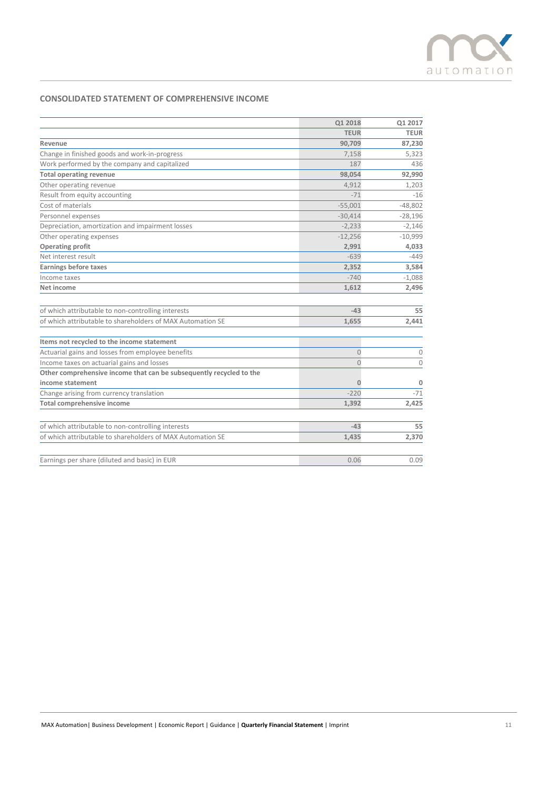

# **CONSOLIDATED STATEMENT OF COMPREHENSIVE INCOME**

|                                                                     | Q1 2018        | Q1 2017     |
|---------------------------------------------------------------------|----------------|-------------|
|                                                                     | <b>TEUR</b>    | <b>TEUR</b> |
| Revenue                                                             | 90,709         | 87,230      |
| Change in finished goods and work-in-progress                       | 7,158          | 5,323       |
| Work performed by the company and capitalized                       | 187            | 436         |
| <b>Total operating revenue</b>                                      | 98,054         | 92,990      |
| Other operating revenue                                             | 4,912          | 1,203       |
| Result from equity accounting                                       | $-71$          | $-16$       |
| Cost of materials                                                   | $-55,001$      | $-48,802$   |
| Personnel expenses                                                  | $-30,414$      | $-28,196$   |
| Depreciation, amortization and impairment losses                    | $-2,233$       | $-2,146$    |
| Other operating expenses                                            | $-12,256$      | $-10,999$   |
| <b>Operating profit</b>                                             | 2,991          | 4,033       |
| Net interest result                                                 | $-639$         | $-449$      |
| <b>Earnings before taxes</b>                                        | 2,352          | 3,584       |
| Income taxes                                                        | $-740$         | $-1,088$    |
| Net income                                                          | 1,612          | 2,496       |
| of which attributable to non-controlling interests                  | $-43$          | 55          |
| of which attributable to shareholders of MAX Automation SE          | 1,655          | 2,441       |
| Items not recycled to the income statement                          |                |             |
| Actuarial gains and losses from employee benefits                   | $\overline{0}$ | 0           |
| Income taxes on actuarial gains and losses                          | $\Omega$       | $\Omega$    |
| Other comprehensive income that can be subsequently recycled to the |                |             |
| income statement                                                    | Ω              |             |
| Change arising from currency translation                            | $-220$         | $-71$       |
| <b>Total comprehensive income</b>                                   | 1,392          | 2,425       |
| of which attributable to non-controlling interests                  | $-43$          | 55          |
| of which attributable to shareholders of MAX Automation SE          | 1,435          | 2,370       |
| Earnings per share (diluted and basic) in EUR                       | 0.06           | 0.09        |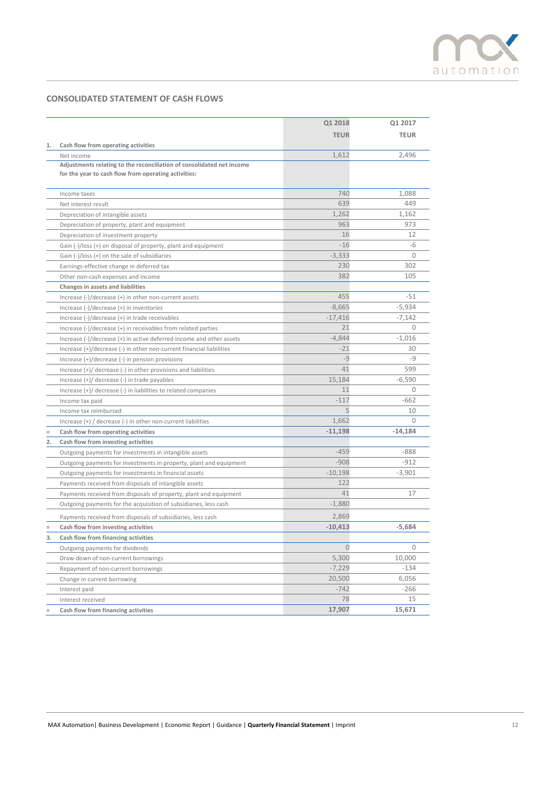

# **CONSOLIDATED STATEMENT OF CASH FLOWS**

|                                                                                        | Q1 2018        | Q1 2017     |
|----------------------------------------------------------------------------------------|----------------|-------------|
|                                                                                        | <b>TEUR</b>    | <b>TEUR</b> |
| Cash flow from operating activities<br>1.                                              |                |             |
| Net income                                                                             | 1,612          | 2,496       |
| Adjustments relating to the reconciliation of consolidated net income                  |                |             |
| for the year to cash flow from operating activities:                                   |                |             |
|                                                                                        |                |             |
| Income taxes                                                                           | 740            | 1,088       |
| Net interest result                                                                    | 639            | 449         |
| Depreciation of intangible assets                                                      | 1,262          | 1,162       |
| Depreciation of property, plant and equipment                                          | 963            | 973         |
| Depreciation of investment property                                                    | 16             | 12          |
| Gain (-)/loss (+) on disposal of property, plant and equipment                         | $-16$          | -6          |
| Gain $(-)/$ loss $(+)$ on the sale of subsidiaries                                     | $-3,333$       | $\Omega$    |
| Earnings-effective change in deferred tax                                              | 230            | 302         |
| Other non-cash expenses and income                                                     | 382            | 105         |
| Changes in assets and liabilities                                                      |                |             |
| Increase $(-)/$ decrease $(+)$ in other non-current assets                             | 455            | $-51$       |
| Increase $(-)/$ decrease $(+)$ in inventories                                          | $-8,665$       | $-5,934$    |
| Increase (-)/decrease (+) in trade receivables                                         | $-17,416$      | $-7,142$    |
| Increase (-)/decrease (+) in receivables from related parties                          | 21             | $\Omega$    |
| Increase (-)/decrease (+) in active deferred income and other assets                   | $-4,844$       | $-1,016$    |
| Increase $(+)/$ decrease $(-)$ in other non-current financial liabilities              | $-21$          | 30          |
| Increase (+)/decrease (-) in pension provisions                                        | $-9$           | $-9$        |
| Increase $(+)/$ decrease $(-)$ in other provisions and liabilities                     | 41             | 599         |
| Increase $(+)/$ decrease $(-)$ in trade payables                                       | 15,184         | $-6,590$    |
| Increase $(+)/$ decrease $(-)$ in liabilities to related companies                     | 11             | 0           |
| Income tax paid                                                                        | $-117$         | $-662$      |
| Income tax reimbursed                                                                  | 5              | 10          |
| Increase (+) / decrease (-) in other non-current liabilities                           | 1,662          |             |
| Cash flow from operating activities                                                    | $-11,198$      | $-14,184$   |
| Cash flow from investing activities                                                    |                |             |
| Outgoing payments for investments in intangible assets                                 | $-459$         | $-888$      |
| Outgoing payments for investments in property, plant and equipment                     | $-908$         | $-912$      |
| Outgoing payments for investments in financial assets                                  | $-10,198$      | $-3,901$    |
| Payments received from disposals of intangible assets                                  | 122            |             |
| Payments received from disposals of property, plant and equipment                      | 41             | 17          |
| Outgoing payments for the acquisition of subsidiaries, less cash                       | $-1,880$       |             |
| Payments received from disposals of subsidiaries, less cash                            | 2,869          |             |
| Cash flow from investing activities                                                    | $-10,413$      | $-5,684$    |
|                                                                                        |                |             |
| Outgoing payments for dividends                                                        | $\overline{0}$ | 0           |
| Draw-down of non-current borrowings                                                    | 5,300          | 10,000      |
|                                                                                        | $-7,229$       | $-134$      |
| Change in current borrowing                                                            | 20,500         | 6,056       |
| Interest paid                                                                          | $-742$         | $-266$      |
| Interest received                                                                      | 78             | 15          |
| Cash flow from financing activities                                                    | 17,907         | 15,671      |
| 2.<br>Cash flow from financing activities<br>3.<br>Repayment of non-current borrowings |                |             |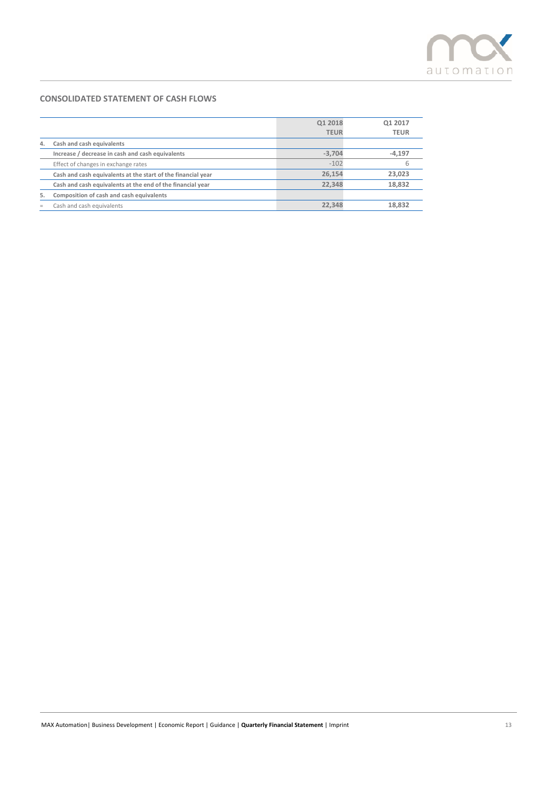

# **CONSOLIDATED STATEMENT OF CASH FLOWS**

|    |                                                              | Q1 2018<br><b>TEUR</b> | 01 2017<br><b>TEUR</b> |
|----|--------------------------------------------------------------|------------------------|------------------------|
| 4. | Cash and cash equivalents                                    |                        |                        |
|    | Increase / decrease in cash and cash equivalents             | $-3.704$               | $-4,197$               |
|    | Effect of changes in exchange rates                          | $-102$                 | h                      |
|    | Cash and cash equivalents at the start of the financial year | 26.154                 | 23,023                 |
|    | Cash and cash equivalents at the end of the financial year   | 22.348                 | 18.832                 |
|    | Composition of cash and cash equivalents                     |                        |                        |
|    | Cash and cash equivalents                                    | 22.348                 | 18.832                 |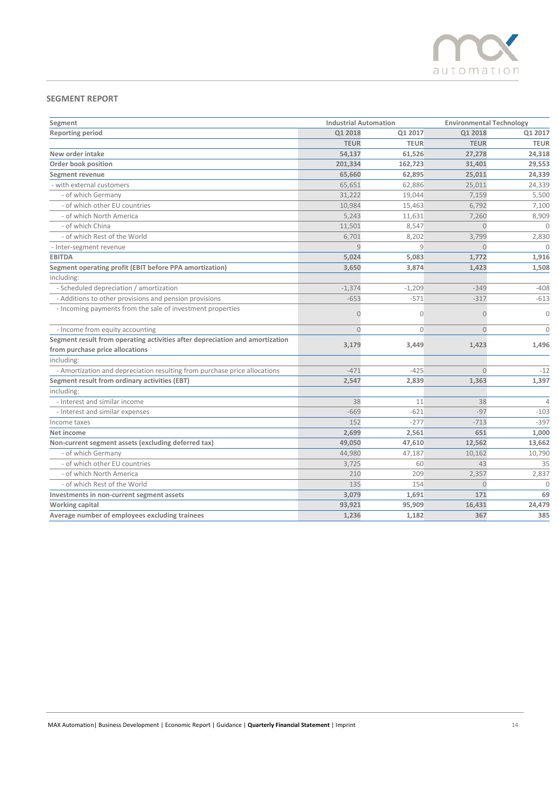

# **SEGMENT REPORT**

| Segment                                                                      | <b>Industrial Automation</b> |              | <b>Environmental Technology</b> |                |
|------------------------------------------------------------------------------|------------------------------|--------------|---------------------------------|----------------|
| <b>Reporting period</b>                                                      | Q1 2018                      | Q1 2017      | Q1 2018                         | Q1 2017        |
|                                                                              | <b>TEUR</b>                  | <b>TEUR</b>  | <b>TEUR</b>                     | <b>TEUR</b>    |
| New order intake                                                             | 54,137                       | 61,526       | 27,278                          | 24,318         |
| Order book position                                                          | 201,334                      | 162,723      | 31,401                          | 29,553         |
| Segment revenue                                                              | 65,660                       | 62,895       | 25,011                          | 24,339         |
| - with external customers                                                    | 65,651                       | 62,886       | 25,011                          | 24,339         |
| - of which Germany                                                           | 31,222                       | 19,044       | 7,159                           | 5,500          |
| - of which other EU countries                                                | 10,984                       | 15,463       | 6,792                           | 7,100          |
| - of which North America                                                     | 5,243                        | 11,631       | 7,260                           | 8,909          |
| - of which China                                                             | 11,501                       | 8,547        | $\overline{0}$                  | $\mathbf{0}$   |
| - of which Rest of the World                                                 | 6,701                        | 8,202        | 3,799                           | 2,830          |
| - Inter-segment revenue                                                      | 9                            | 9            | $\overline{0}$                  | $\theta$       |
| <b>EBITDA</b>                                                                | 5,024                        | 5,083        | 1,772                           | 1,916          |
| Segment operating profit (EBIT before PPA amortization)                      | 3,650                        | 3,874        | 1,423                           | 1,508          |
| including:                                                                   |                              |              |                                 |                |
| - Scheduled depreciation / amortization                                      | $-1,374$                     | $-1,209$     | $-349$                          | $-408$         |
| - Additions to other provisions and pension provisions                       | $-653$                       | $-571$       | $-317$                          | $-613$         |
| - Incoming payments from the sale of investment properties                   | $\overline{0}$               | $\mathbf{0}$ | 0                               | $\mathbf{0}$   |
| - Income from equity accounting                                              | $\Omega$                     | $\Omega$     | $\Omega$                        | $\Omega$       |
| Segment result from operating activities after depreciation and amortization |                              |              |                                 |                |
| from purchase price allocations                                              | 3,179                        | 3,449        | 1,423                           | 1,496          |
| including:                                                                   |                              |              |                                 |                |
| - Amortization and depreciation resulting from purchase price allocations    | $-471$                       | $-425$       | $\Omega$                        | $-12$          |
| Segment result from ordinary activities (EBT)                                | 2,547                        | 2,839        | 1,363                           | 1,397          |
| including:                                                                   |                              |              |                                 |                |
| - Interest and similar income                                                | 38                           | 11           | 38                              | $\overline{4}$ |
| - Interest and similar expenses                                              | $-669$                       | $-621$       | $-97$                           | $-103$         |
| Income taxes                                                                 | 152                          | $-277$       | $-713$                          | $-397$         |
| Net income                                                                   | 2,699                        | 2,561        | 651                             | 1,000          |
| Non-current segment assets (excluding deferred tax)                          | 49,050                       | 47,610       | 12,562                          | 13,662         |
| - of which Germany                                                           | 44,980                       | 47,187       | 10,162                          | 10,790         |
| - of which other EU countries                                                | 3,725                        | 60           | 43                              | 35             |
| - of which North America                                                     | 210                          | 209          | 2,357                           | 2,837          |
| - of which Rest of the World                                                 | 135                          | 154          | $\overline{0}$                  | $\Omega$       |
| Investments in non-current segment assets                                    | 3,079                        | 1,691        | 171                             | 69             |
| Working capital                                                              | 93,921                       | 95,909       | 16,431                          | 24,479         |
| Average number of employees excluding trainees                               | 1,236                        | 1,182        | 367                             | 385            |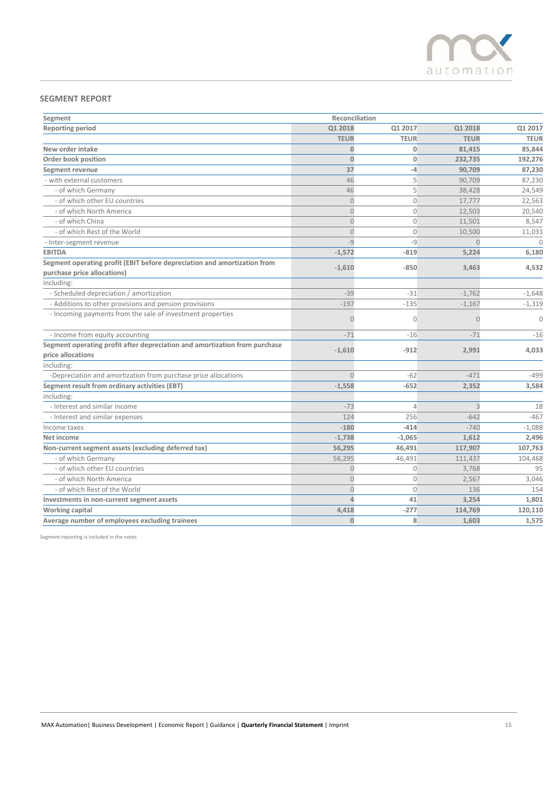

# **SEGMENT REPORT**

| Segment                                                                                                 | Reconciliation |                |                |              |
|---------------------------------------------------------------------------------------------------------|----------------|----------------|----------------|--------------|
| <b>Reporting period</b>                                                                                 | Q1 2018        | Q1 2017        | Q1 2018        | Q1 2017      |
|                                                                                                         | <b>TEUR</b>    | <b>TEUR</b>    | <b>TEUR</b>    | <b>TEUR</b>  |
| New order intake                                                                                        | $\mathbf{0}$   | 0              | 81,415         | 85,844       |
| Order book position                                                                                     | $\mathbf{0}$   | $\overline{0}$ | 232,735        | 192,276      |
| <b>Segment revenue</b>                                                                                  | 37             | $-4$           | 90,709         | 87,230       |
| - with external customers                                                                               | 46             | 5              | 90,709         | 87,230       |
| - of which Germany                                                                                      | 46             | 5              | 38,428         | 24,549       |
| - of which other EU countries                                                                           | $\overline{0}$ | $\mathbf{0}$   | 17,777         | 22,563       |
| - of which North America                                                                                | $\theta$       | $\circ$        | 12,503         | 20,540       |
| - of which China                                                                                        | $\overline{0}$ | $\mathbf{0}$   | 11,501         | 8,547        |
| - of which Rest of the World                                                                            | $\theta$       | $\overline{0}$ | 10,500         | 11,031       |
| - Inter-segment revenue                                                                                 | $-9$           | $-9$           | $\overline{0}$ | $\mathbf{0}$ |
| <b>EBITDA</b>                                                                                           | $-1,572$       | $-819$         | 5,224          | 6,180        |
| Segment operating profit (EBIT before depreciation and amortization from<br>purchase price allocations) | $-1,610$       | $-850$         | 3,463          | 4,532        |
| including:                                                                                              |                |                |                |              |
| - Scheduled depreciation / amortization                                                                 | $-39$          | $-31$          | $-1,762$       | $-1,648$     |
| - Additions to other provisions and pension provisions                                                  | $-197$         | $-135$         | $-1,167$       | $-1,319$     |
| - Incoming payments from the sale of investment properties                                              | $\overline{O}$ | $\Omega$       | Ω              | $\Omega$     |
| - Income from equity accounting                                                                         | $-71$          | $-16$          | $-71$          | $-16$        |
| Segment operating profit after depreciation and amortization from purchase                              |                |                |                |              |
| price allocations                                                                                       | $-1,610$       | $-912$         | 2,991          | 4,033        |
| including:                                                                                              |                |                |                |              |
| -Depreciation and amortization from purchase price allocations                                          | $\overline{0}$ | $-62$          | $-471$         | $-499$       |
| Segment result from ordinary activities (EBT)                                                           | $-1,558$       | $-652$         | 2,352          | 3,584        |
| including:                                                                                              |                |                |                |              |
| - Interest and similar income                                                                           | $-73$          | $\overline{4}$ | $\overline{3}$ | 18           |
| - Interest and similar expenses                                                                         | 124            | 256            | $-642$         | $-467$       |
| Income taxes                                                                                            | $-180$         | $-414$         | $-740$         | $-1,088$     |
| Net income                                                                                              | $-1,738$       | $-1,065$       | 1,612          | 2,496        |
| Non-current segment assets (excluding deferred tax)                                                     | 56,295         | 46,491         | 117,907        | 107,763      |
| - of which Germany                                                                                      | 56,295         | 46,491         | 111,437        | 104,468      |
| - of which other EU countries                                                                           | $\overline{0}$ | $\mathbf{0}$   | 3,768          | 95           |
| - of which North America                                                                                | $\theta$       | $\mathbf 0$    | 2,567          | 3,046        |
| - of which Rest of the World                                                                            | $\overline{0}$ | $\Omega$       | 136            | 154          |
| Investments in non-current segment assets                                                               | $\overline{4}$ | 41             | 3,254          | 1,801        |
| Working capital                                                                                         | 4,418          | $-277$         | 114,769        | 120,110      |
| Average number of employees excluding trainees                                                          | $\mathbf{0}$   | 8              | 1,603          | 1,575        |

Segment reporting is included in the notes